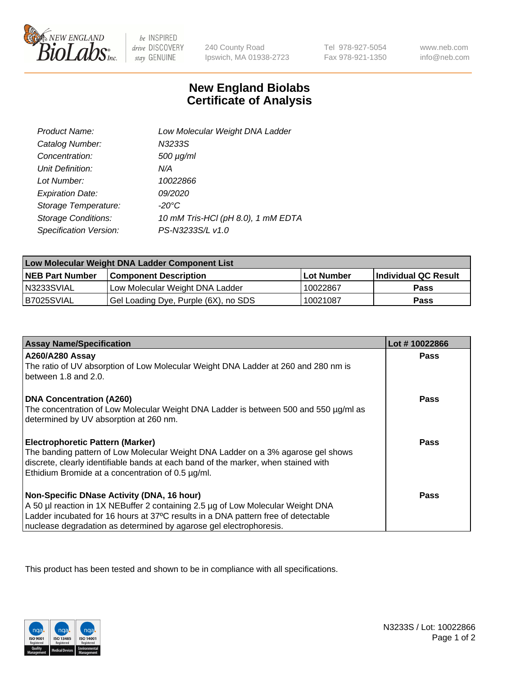

 $be$  INSPIRED drive DISCOVERY stay GENUINE

240 County Road Ipswich, MA 01938-2723

Tel 978-927-5054 Fax 978-921-1350

www.neb.com info@neb.com

## **New England Biolabs Certificate of Analysis**

| Product Name:              | Low Molecular Weight DNA Ladder    |
|----------------------------|------------------------------------|
| Catalog Number:            | N3233S                             |
| Concentration:             | $500 \mu g/ml$                     |
| Unit Definition:           | N/A                                |
| Lot Number:                | 10022866                           |
| <b>Expiration Date:</b>    | <i>09/2020</i>                     |
| Storage Temperature:       | $-20^{\circ}$ C                    |
| <b>Storage Conditions:</b> | 10 mM Tris-HCl (pH 8.0), 1 mM EDTA |
| Specification Version:     | PS-N3233S/L v1.0                   |

| Low Molecular Weight DNA Ladder Component List |                                      |                   |                      |  |
|------------------------------------------------|--------------------------------------|-------------------|----------------------|--|
| <b>NEB Part Number</b>                         | <b>Component Description</b>         | <b>Lot Number</b> | Individual QC Result |  |
| N3233SVIAL                                     | Low Molecular Weight DNA Ladder      | 10022867          | <b>Pass</b>          |  |
| B7025SVIAL                                     | Gel Loading Dye, Purple (6X), no SDS | 10021087          | <b>Pass</b>          |  |

| <b>Assay Name/Specification</b>                                                                                                         | Lot #10022866 |
|-----------------------------------------------------------------------------------------------------------------------------------------|---------------|
| A260/A280 Assay                                                                                                                         | <b>Pass</b>   |
| The ratio of UV absorption of Low Molecular Weight DNA Ladder at 260 and 280 nm is<br>between 1.8 and 2.0.                              |               |
| <b>DNA Concentration (A260)</b>                                                                                                         | Pass          |
| The concentration of Low Molecular Weight DNA Ladder is between 500 and 550 µg/ml as<br>determined by UV absorption at 260 nm.          |               |
| <b>Electrophoretic Pattern (Marker)</b>                                                                                                 | Pass          |
| The banding pattern of Low Molecular Weight DNA Ladder on a 3% agarose gel shows                                                        |               |
| discrete, clearly identifiable bands at each band of the marker, when stained with<br>Ethidium Bromide at a concentration of 0.5 µg/ml. |               |
|                                                                                                                                         |               |
| Non-Specific DNase Activity (DNA, 16 hour)                                                                                              | Pass          |
| A 50 µl reaction in 1X NEBuffer 2 containing 2.5 µg of Low Molecular Weight DNA                                                         |               |
| Ladder incubated for 16 hours at 37°C results in a DNA pattern free of detectable                                                       |               |
| nuclease degradation as determined by agarose gel electrophoresis.                                                                      |               |

This product has been tested and shown to be in compliance with all specifications.